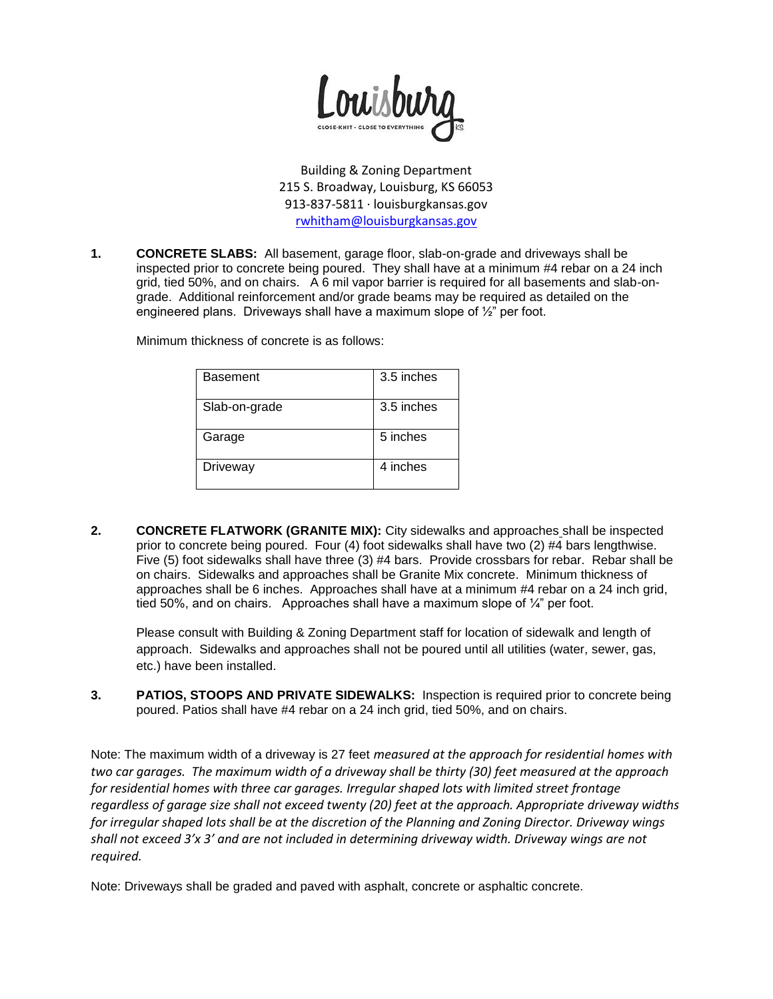

Building & Zoning Department 215 S. Broadway, Louisburg, KS 66053 913-837-5811 · louisburgkansas.gov [rwhitham@louisburgkansas.gov](mailto:rwhitham@louisburgkansas.gov)

**1. CONCRETE SLABS:** All basement, garage floor, slab-on-grade and driveways shall be inspected prior to concrete being poured. They shall have at a minimum #4 rebar on a 24 inch grid, tied 50%, and on chairs. A 6 mil vapor barrier is required for all basements and slab-ongrade. Additional reinforcement and/or grade beams may be required as detailed on the engineered plans. Driveways shall have a maximum slope of ½" per foot.

Minimum thickness of concrete is as follows:

| <b>Basement</b> | 3.5 inches |
|-----------------|------------|
| Slab-on-grade   | 3.5 inches |
| Garage          | 5 inches   |
| Driveway        | 4 inches   |

**2. CONCRETE FLATWORK (GRANITE MIX):** City sidewalks and approaches shall be inspected prior to concrete being poured. Four (4) foot sidewalks shall have two (2) #4 bars lengthwise. Five (5) foot sidewalks shall have three (3) #4 bars. Provide crossbars for rebar. Rebar shall be on chairs. Sidewalks and approaches shall be Granite Mix concrete. Minimum thickness of approaches shall be 6 inches. Approaches shall have at a minimum #4 rebar on a 24 inch grid, tied 50%, and on chairs. Approaches shall have a maximum slope of ¼" per foot.

Please consult with Building & Zoning Department staff for location of sidewalk and length of approach. Sidewalks and approaches shall not be poured until all utilities (water, sewer, gas, etc.) have been installed.

**3. PATIOS, STOOPS AND PRIVATE SIDEWALKS:** Inspection is required prior to concrete being poured. Patios shall have #4 rebar on a 24 inch grid, tied 50%, and on chairs.

Note: The maximum width of a driveway is 27 feet *measured at the approach for residential homes with two car garages. The maximum width of a driveway shall be thirty (30) feet measured at the approach for residential homes with three car garages. Irregular shaped lots with limited street frontage regardless of garage size shall not exceed twenty (20) feet at the approach. Appropriate driveway widths for irregular shaped lots shall be at the discretion of the Planning and Zoning Director. Driveway wings shall not exceed 3'x 3' and are not included in determining driveway width. Driveway wings are not required.*

Note: Driveways shall be graded and paved with asphalt, concrete or asphaltic concrete.